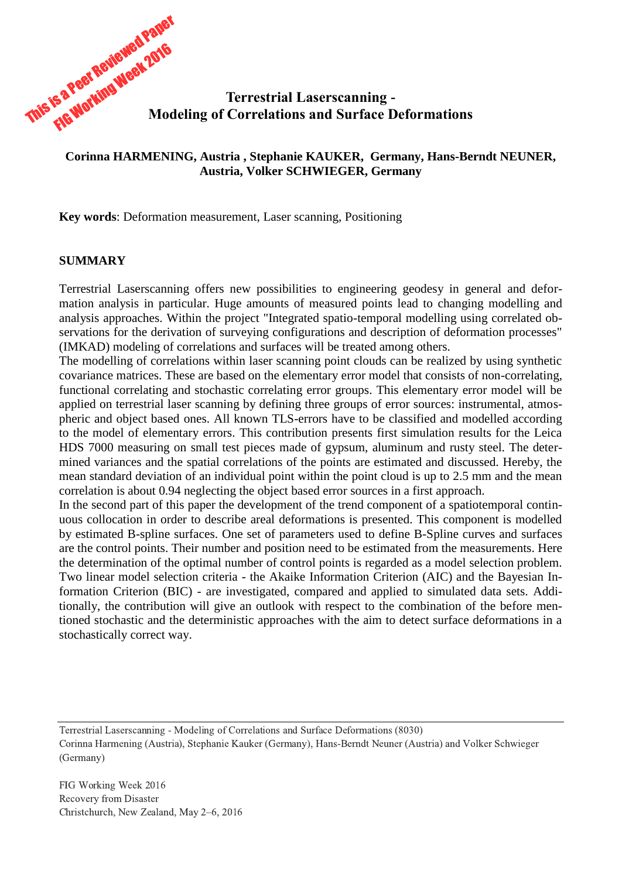

## **Corinna HARMENING, Austria , Stephanie KAUKER, Germany, Hans-Berndt NEUNER, Austria, Volker SCHWIEGER, Germany**

**Key words**: Deformation measurement, Laser scanning, Positioning

## **SUMMARY**

Terrestrial Laserscanning offers new possibilities to engineering geodesy in general and deformation analysis in particular. Huge amounts of measured points lead to changing modelling and analysis approaches. Within the project "Integrated spatio-temporal modelling using correlated observations for the derivation of surveying configurations and description of deformation processes" (IMKAD) modeling of correlations and surfaces will be treated among others.

The modelling of correlations within laser scanning point clouds can be realized by using synthetic covariance matrices. These are based on the elementary error model that consists of non-correlating, functional correlating and stochastic correlating error groups. This elementary error model will be applied on terrestrial laser scanning by defining three groups of error sources: instrumental, atmospheric and object based ones. All known TLS-errors have to be classified and modelled according to the model of elementary errors. This contribution presents first simulation results for the Leica HDS 7000 measuring on small test pieces made of gypsum, aluminum and rusty steel. The determined variances and the spatial correlations of the points are estimated and discussed. Hereby, the mean standard deviation of an individual point within the point cloud is up to 2.5 mm and the mean correlation is about 0.94 neglecting the object based error sources in a first approach.

In the second part of this paper the development of the trend component of a spatiotemporal continuous collocation in order to describe areal deformations is presented. This component is modelled by estimated B-spline surfaces. One set of parameters used to define B-Spline curves and surfaces are the control points. Their number and position need to be estimated from the measurements. Here the determination of the optimal number of control points is regarded as a model selection problem. Two linear model selection criteria - the Akaike Information Criterion (AIC) and the Bayesian Information Criterion (BIC) - are investigated, compared and applied to simulated data sets. Additionally, the contribution will give an outlook with respect to the combination of the before mentioned stochastic and the deterministic approaches with the aim to detect surface deformations in a stochastically correct way.

Terrestrial Laserscanning - Modeling of Correlations and Surface Deformations (8030)

Corinna Harmening (Austria), Stephanie Kauker (Germany), Hans-Berndt Neuner (Austria) and Volker Schwieger (Germany)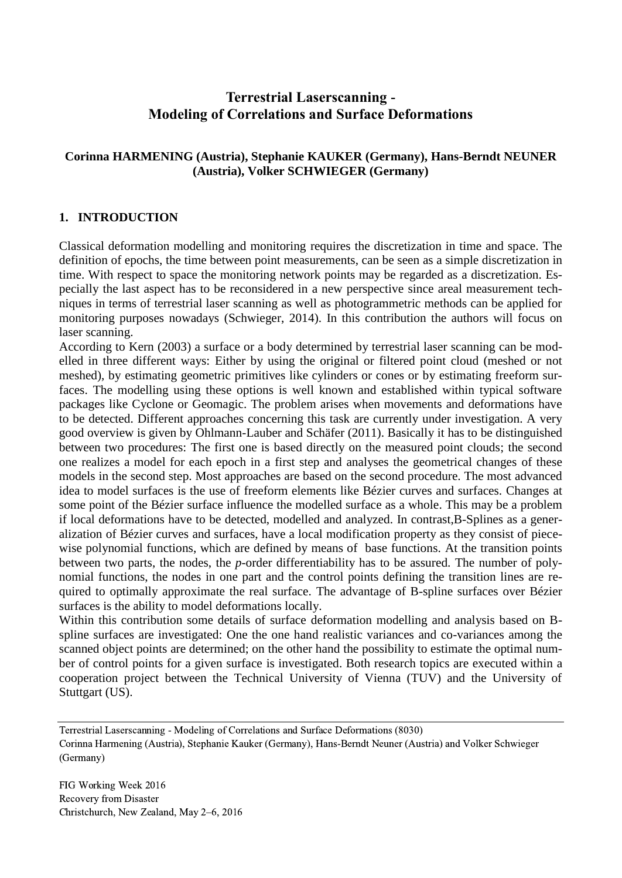# **Terrestrial Laserscanning - Modeling of Correlations and Surface Deformations**

## **Corinna HARMENING (Austria), Stephanie KAUKER (Germany), Hans-Berndt NEUNER (Austria), Volker SCHWIEGER (Germany)**

## **1. INTRODUCTION**

Classical deformation modelling and monitoring requires the discretization in time and space. The definition of epochs, the time between point measurements, can be seen as a simple discretization in time. With respect to space the monitoring network points may be regarded as a discretization. Especially the last aspect has to be reconsidered in a new perspective since areal measurement techniques in terms of terrestrial laser scanning as well as photogrammetric methods can be applied for monitoring purposes nowadays (Schwieger, 2014). In this contribution the authors will focus on laser scanning.

According to Kern (2003) a surface or a body determined by terrestrial laser scanning can be modelled in three different ways: Either by using the original or filtered point cloud (meshed or not meshed), by estimating geometric primitives like cylinders or cones or by estimating freeform surfaces. The modelling using these options is well known and established within typical software packages like Cyclone or Geomagic. The problem arises when movements and deformations have to be detected. Different approaches concerning this task are currently under investigation. A very good overview is given by Ohlmann-Lauber and Schäfer (2011). Basically it has to be distinguished between two procedures: The first one is based directly on the measured point clouds; the second one realizes a model for each epoch in a first step and analyses the geometrical changes of these models in the second step. Most approaches are based on the second procedure. The most advanced idea to model surfaces is the use of freeform elements like Bézier curves and surfaces. Changes at some point of the Bézier surface influence the modelled surface as a whole. This may be a problem if local deformations have to be detected, modelled and analyzed. In contrast,B-Splines as a generalization of Bézier curves and surfaces, have a local modification property as they consist of piecewise polynomial functions, which are defined by means of base functions. At the transition points between two parts, the nodes, the *p*-order differentiability has to be assured. The number of polynomial functions, the nodes in one part and the control points defining the transition lines are required to optimally approximate the real surface. The advantage of B-spline surfaces over Bézier surfaces is the ability to model deformations locally.

Within this contribution some details of surface deformation modelling and analysis based on Bspline surfaces are investigated: One the one hand realistic variances and co-variances among the scanned object points are determined; on the other hand the possibility to estimate the optimal number of control points for a given surface is investigated. Both research topics are executed within a cooperation project between the Technical University of Vienna (TUV) and the University of Stuttgart (US).

Terrestrial Laserscanning - Modeling of Correlations and Surface Deformations (8030)

Corinna Harmening (Austria), Stephanie Kauker (Germany), Hans-Berndt Neuner (Austria) and Volker Schwieger (Germany)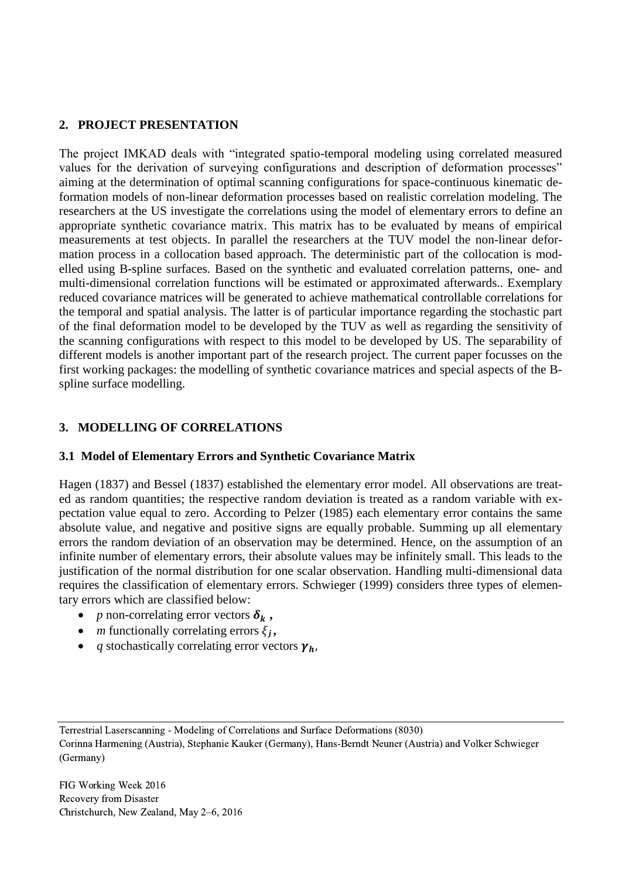## **2. PROJECT PRESENTATION**

The project IMKAD deals with "integrated spatio-temporal modeling using correlated measured values for the derivation of surveying configurations and description of deformation processes" aiming at the determination of optimal scanning configurations for space-continuous kinematic deformation models of non-linear deformation processes based on realistic correlation modeling. The researchers at the US investigate the correlations using the model of elementary errors to define an appropriate synthetic covariance matrix. This matrix has to be evaluated by means of empirical measurements at test objects. In parallel the researchers at the TUV model the non-linear deformation process in a collocation based approach. The deterministic part of the collocation is modelled using B-spline surfaces. Based on the synthetic and evaluated correlation patterns, one- and multi-dimensional correlation functions will be estimated or approximated afterwards.. Exemplary reduced covariance matrices will be generated to achieve mathematical controllable correlations for the temporal and spatial analysis. The latter is of particular importance regarding the stochastic part of the final deformation model to be developed by the TUV as well as regarding the sensitivity of the scanning configurations with respect to this model to be developed by US. The separability of different models is another important part of the research project. The current paper focusses on the first working packages: the modelling of synthetic covariance matrices and special aspects of the Bspline surface modelling.

## **3. MODELLING OF CORRELATIONS**

## **3.1 Model of Elementary Errors and Synthetic Covariance Matrix**

Hagen (1837) and Bessel (1837) established the elementary error model. All observations are treated as random quantities; the respective random deviation is treated as a random variable with expectation value equal to zero. According to Pelzer (1985) each elementary error contains the same absolute value, and negative and positive signs are equally probable. Summing up all elementary errors the random deviation of an observation may be determined. Hence, on the assumption of an infinite number of elementary errors, their absolute values may be infinitely small. This leads to the justification of the normal distribution for one scalar observation. Handling multi-dimensional data requires the classification of elementary errors. Schwieger (1999) considers three types of elementary errors which are classified below:

- *p* non-correlating error vectors  $\delta_k$ ,
- *m* functionally correlating errors  $\xi_i$ ,
- *q* stochastically correlating error vectors  $\gamma_h$ ,

Terrestrial Laserscanning - Modeling of Correlations and Surface Deformations (8030)

Corinna Harmening (Austria), Stephanie Kauker (Germany), Hans-Berndt Neuner (Austria) and Volker Schwieger (Germany)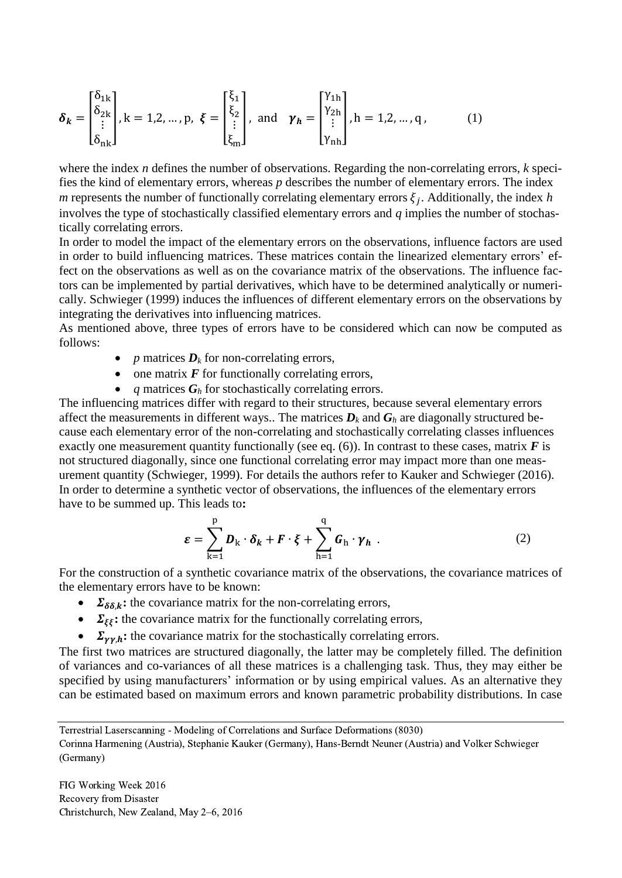$$
\delta_{k} = \begin{bmatrix} \delta_{1k} \\ \delta_{2k} \\ \vdots \\ \delta_{nk} \end{bmatrix}, k = 1, 2, ..., p, \xi = \begin{bmatrix} \xi_{1} \\ \xi_{2} \\ \vdots \\ \xi_{m} \end{bmatrix}, \text{ and } \gamma_{h} = \begin{bmatrix} \gamma_{1h} \\ \gamma_{2h} \\ \vdots \\ \gamma_{nh} \end{bmatrix}, h = 1, 2, ..., q, (1)
$$

where the index *n* defines the number of observations. Regarding the non-correlating errors, *k* specifies the kind of elementary errors, whereas *p* describes the number of elementary errors. The index *m* represents the number of functionally correlating elementary errors  $\xi_j$ . Additionally, the index *h* involves the type of stochastically classified elementary errors and *q* implies the number of stochastically correlating errors.

In order to model the impact of the elementary errors on the observations, influence factors are used in order to build influencing matrices. These matrices contain the linearized elementary errors' effect on the observations as well as on the covariance matrix of the observations. The influence factors can be implemented by partial derivatives, which have to be determined analytically or numerically. Schwieger (1999) induces the influences of different elementary errors on the observations by integrating the derivatives into influencing matrices.

As mentioned above, three types of errors have to be considered which can now be computed as follows:

- *p* matrices  $D_k$  for non-correlating errors,
- $\bullet$  one matrix  $\vec{F}$  for functionally correlating errors,
- *q* matrices *G<sup>h</sup>* for stochastically correlating errors.

The influencing matrices differ with regard to their structures, because several elementary errors affect the measurements in different ways.. The matrices  $D_k$  and  $G_h$  are diagonally structured because each elementary error of the non-correlating and stochastically correlating classes influences exactly one measurement quantity functionally (see eq.  $(6)$ ). In contrast to these cases, matrix *F* is not structured diagonally, since one functional correlating error may impact more than one measurement quantity (Schwieger, 1999). For details the authors refer to Kauker and Schwieger (2016). In order to determine a synthetic vector of observations, the influences of the elementary errors have to be summed up. This leads to**:** 

$$
\varepsilon = \sum_{k=1}^{p} D_k \cdot \delta_k + F \cdot \xi + \sum_{h=1}^{q} G_h \cdot \gamma_h . \tag{2}
$$

For the construction of a synthetic covariance matrix of the observations, the covariance matrices of the elementary errors have to be known:

- $\Sigma_{\delta\delta k}$ : the covariance matrix for the non-correlating errors,
- $\Sigma_{\xi\xi}$ : the covariance matrix for the functionally correlating errors,
- $\Sigma_{\gamma\gamma,h}$ : the covariance matrix for the stochastically correlating errors.

The first two matrices are structured diagonally, the latter may be completely filled. The definition of variances and co-variances of all these matrices is a challenging task. Thus, they may either be specified by using manufacturers' information or by using empirical values. As an alternative they can be estimated based on maximum errors and known parametric probability distributions. In case

Terrestrial Laserscanning - Modeling of Correlations and Surface Deformations (8030)

Corinna Harmening (Austria), Stephanie Kauker (Germany), Hans-Berndt Neuner (Austria) and Volker Schwieger (Germany)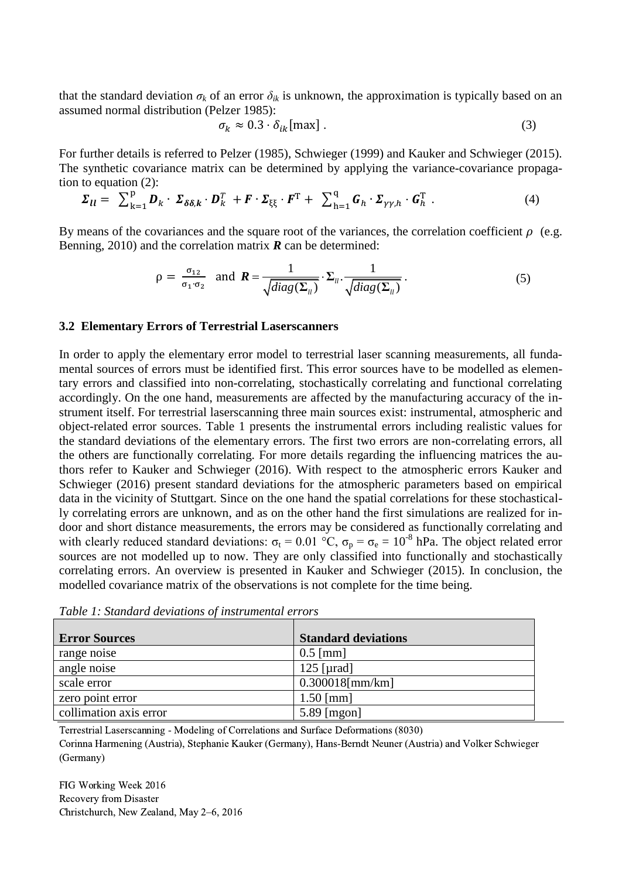that the standard deviation  $\sigma_k$  of an error  $\delta_{ik}$  is unknown, the approximation is typically based on an assumed normal distribution (Pelzer 1985):

$$
\sigma_k \approx 0.3 \cdot \delta_{ik}[\text{max}] \,. \tag{3}
$$

For further details is referred to Pelzer (1985), Schwieger (1999) and Kauker and Schwieger (2015). The synthetic covariance matrix can be determined by applying the variance-covariance propagation to equation (2):

$$
\Sigma_{ll} = \sum_{k=1}^{p} D_k \cdot \Sigma_{\delta\delta,k} \cdot D_k^T + F \cdot \Sigma_{\xi\xi} \cdot F^T + \sum_{h=1}^{q} G_h \cdot \Sigma_{\gamma\gamma,h} \cdot G_h^T
$$
 (4)

By means of the covariances and the square root of the variances, the correlation coefficient  $\rho$  (e.g. Benning, 2010) and the correlation matrix *R* can be determined:

$$
\rho = \frac{\sigma_{12}}{\sigma_1 \cdot \sigma_2} \text{ and } \mathbf{R} = \frac{1}{\sqrt{diag(\Sigma_{ll})}} \cdot \Sigma_{ll} \cdot \frac{1}{\sqrt{diag(\Sigma_{ll})}}.
$$
 (5)

#### **3.2 Elementary Errors of Terrestrial Laserscanners**

In order to apply the elementary error model to terrestrial laser scanning measurements, all fundamental sources of errors must be identified first. This error sources have to be modelled as elementary errors and classified into non-correlating, stochastically correlating and functional correlating accordingly. On the one hand, measurements are affected by the manufacturing accuracy of the instrument itself. For terrestrial laserscanning three main sources exist: instrumental, atmospheric and object-related error sources. Table 1 presents the instrumental errors including realistic values for the standard deviations of the elementary errors. The first two errors are non-correlating errors, all the others are functionally correlating. For more details regarding the influencing matrices the authors refer to Kauker and Schwieger (2016). With respect to the atmospheric errors Kauker and Schwieger (2016) present standard deviations for the atmospheric parameters based on empirical data in the vicinity of Stuttgart. Since on the one hand the spatial correlations for these stochastically correlating errors are unknown, and as on the other hand the first simulations are realized for indoor and short distance measurements, the errors may be considered as functionally correlating and with clearly reduced standard deviations:  $\sigma_t = 0.01 \degree C$ ,  $\sigma_p = \sigma_e = 10^{-8}$  hPa. The object related error sources are not modelled up to now. They are only classified into functionally and stochastically correlating errors. An overview is presented in Kauker and Schwieger (2015). In conclusion, the modelled covariance matrix of the observations is not complete for the time being.

| <b>Error Sources</b>   | <b>Standard deviations</b> |
|------------------------|----------------------------|
| range noise            | $0.5$ [mm]                 |
| angle noise            | 125 [µrad]                 |
| scale error            | $0.300018$ [mm/km]         |
| zero point error       | $1.50$ [mm]                |
| collimation axis error | $5.89$ [mgon]              |

*Table 1: Standard deviations of instrumental errors*

Terrestrial Laserscanning - Modeling of Correlations and Surface Deformations (8030)

Corinna Harmening (Austria), Stephanie Kauker (Germany), Hans-Berndt Neuner (Austria) and Volker Schwieger (Germany)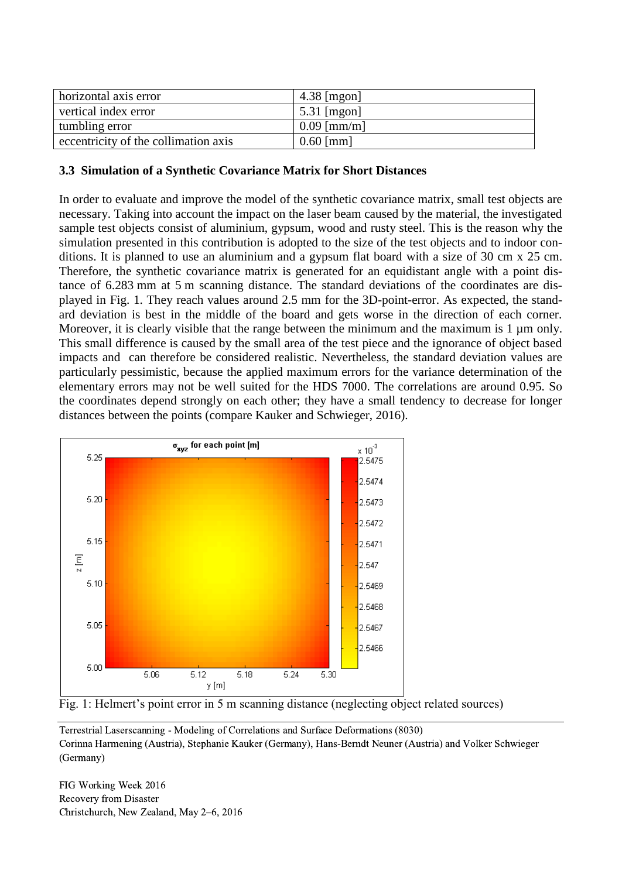| horizontal axis error                | $4.38$ [mgon] |
|--------------------------------------|---------------|
| vertical index error                 | $5.31$ [mgon] |
| tumbling error                       | $0.09$ [mm/m] |
| eccentricity of the collimation axis | $0.60$ [mm]   |

### **3.3 Simulation of a Synthetic Covariance Matrix for Short Distances**

In order to evaluate and improve the model of the synthetic covariance matrix, small test objects are necessary. Taking into account the impact on the laser beam caused by the material, the investigated sample test objects consist of aluminium, gypsum, wood and rusty steel. This is the reason why the simulation presented in this contribution is adopted to the size of the test objects and to indoor conditions. It is planned to use an aluminium and a gypsum flat board with a size of 30 cm x 25 cm. Therefore, the synthetic covariance matrix is generated for an equidistant angle with a point distance of 6.283 mm at 5 m scanning distance. The standard deviations of the coordinates are displayed in Fig. 1. They reach values around 2.5 mm for the 3D-point-error. As expected, the standard deviation is best in the middle of the board and gets worse in the direction of each corner. Moreover, it is clearly visible that the range between the minimum and the maximum is 1 µm only. This small difference is caused by the small area of the test piece and the ignorance of object based impacts and can therefore be considered realistic. Nevertheless, the standard deviation values are particularly pessimistic, because the applied maximum errors for the variance determination of the elementary errors may not be well suited for the HDS 7000. The correlations are around 0.95. So the coordinates depend strongly on each other; they have a small tendency to decrease for longer distances between the points (compare Kauker and Schwieger, 2016).



Fig. 1: Helmert's point error in 5 m scanning distance (neglecting object related sources)

Terrestrial Laserscanning - Modeling of Correlations and Surface Deformations (8030) Corinna Harmening (Austria), Stephanie Kauker (Germany), Hans-Berndt Neuner (Austria) and Volker Schwieger (Germany)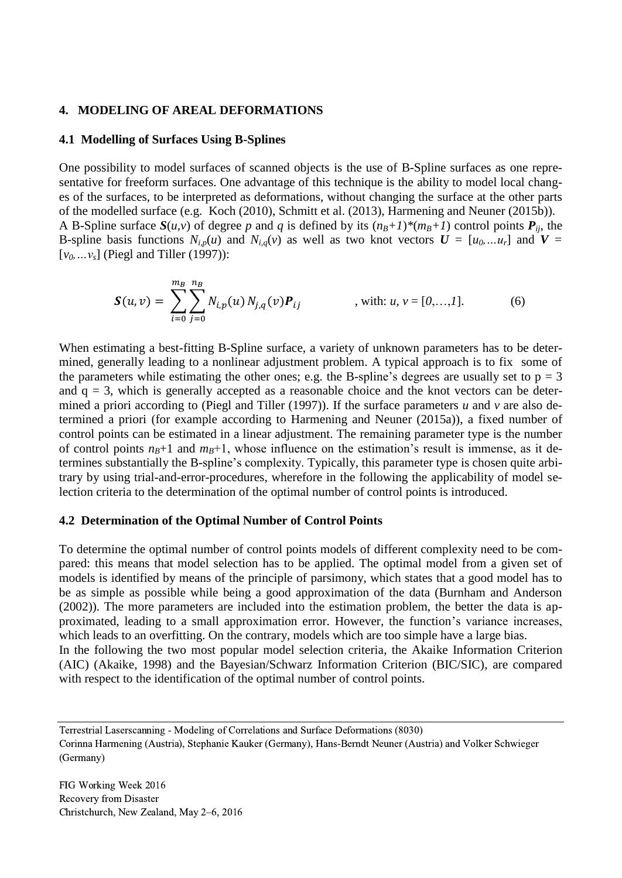#### **4. MODELING OF AREAL DEFORMATIONS**

#### **4.1 Modelling of Surfaces Using B-Splines**

One possibility to model surfaces of scanned objects is the use of B-Spline surfaces as one representative for freeform surfaces. One advantage of this technique is the ability to model local changes of the surfaces, to be interpreted as deformations, without changing the surface at the other parts of the modelled surface (e.g. Koch (2010), Schmitt et al. (2013), Harmening and Neuner (2015b)). A B-Spline surface  $S(u, v)$  of degree p and q is defined by its  $(n<sub>B</sub>+1)*(m<sub>B</sub>+1)$  control points  $P_{ii}$ , the B-spline basis functions  $N_{i,p}(u)$  and  $N_{i,q}(v)$  as well as two knot vectors  $U = [u_0, ... u_r]$  and  $V =$ [*v0,…vs*] (Piegl and Tiller (1997)):

$$
\mathbf{S}(u,v) = \sum_{i=0}^{m_B} \sum_{j=0}^{n_B} N_{i,p}(u) N_{j,q}(v) \mathbf{P}_{ij} \qquad , \text{ with: } u, v = [0,...,1]. \qquad (6)
$$

When estimating a best-fitting B-Spline surface, a variety of unknown parameters has to be determined, generally leading to a nonlinear adjustment problem. A typical approach is to fix some of the parameters while estimating the other ones; e.g. the B-spline's degrees are usually set to  $p = 3$ and  $q = 3$ , which is generally accepted as a reasonable choice and the knot vectors can be determined a priori according to (Piegl and Tiller (1997)). If the surface parameters *u* and *v* are also determined a priori (for example according to Harmening and Neuner (2015a)), a fixed number of control points can be estimated in a linear adjustment. The remaining parameter type is the number of control points  $n<sub>B</sub>+1$  and  $m<sub>B</sub>+1$ , whose influence on the estimation's result is immense, as it determines substantially the B-spline's complexity. Typically, this parameter type is chosen quite arbitrary by using trial-and-error-procedures, wherefore in the following the applicability of model selection criteria to the determination of the optimal number of control points is introduced.

#### **4.2 Determination of the Optimal Number of Control Points**

To determine the optimal number of control points models of different complexity need to be compared: this means that model selection has to be applied. The optimal model from a given set of models is identified by means of the principle of parsimony, which states that a good model has to be as simple as possible while being a good approximation of the data (Burnham and Anderson (2002)). The more parameters are included into the estimation problem, the better the data is approximated, leading to a small approximation error. However, the function's variance increases, which leads to an overfitting. On the contrary, models which are too simple have a large bias. In the following the two most popular model selection criteria, the Akaike Information Criterion (AIC) (Akaike, 1998) and the Bayesian/Schwarz Information Criterion (BIC/SIC), are compared with respect to the identification of the optimal number of control points.

Terrestrial Laserscanning - Modeling of Correlations and Surface Deformations (8030) Corinna Harmening (Austria), Stephanie Kauker (Germany), Hans-Berndt Neuner (Austria) and Volker Schwieger (Germany)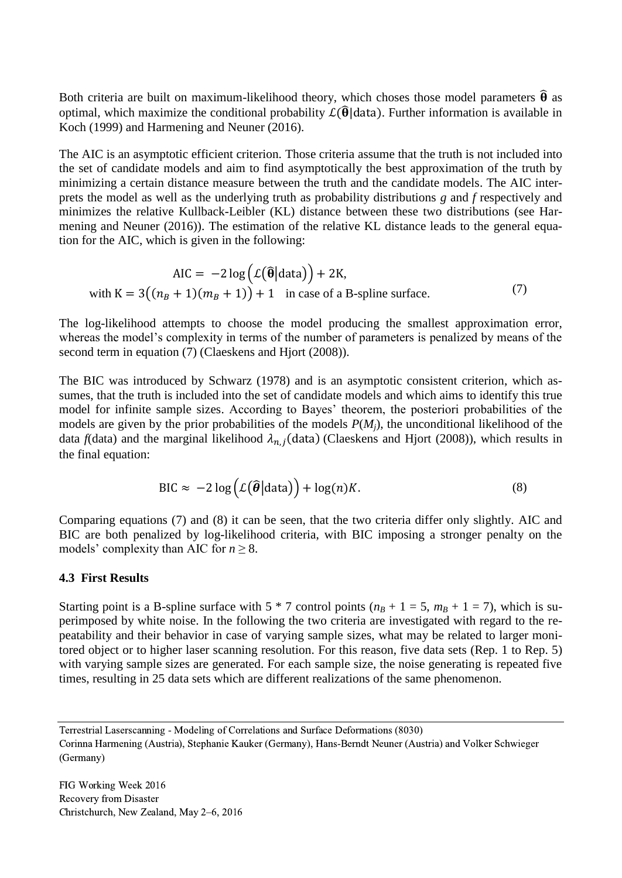Both criteria are built on maximum-likelihood theory, which choses those model parameters  $\hat{\theta}$  as optimal, which maximize the conditional probability  $\mathcal{L}(\widehat{\theta} | \text{data})$ . Further information is available in Koch (1999) and Harmening and Neuner (2016).

The AIC is an asymptotic efficient criterion. Those criteria assume that the truth is not included into the set of candidate models and aim to find asymptotically the best approximation of the truth by minimizing a certain distance measure between the truth and the candidate models. The AIC interprets the model as well as the underlying truth as probability distributions *g* and *f* respectively and minimizes the relative Kullback-Leibler (KL) distance between these two distributions (see Harmening and Neuner (2016)). The estimation of the relative KL distance leads to the general equation for the AIC, which is given in the following:

$$
AIC = -2 \log \left( \mathcal{L}(\widehat{\theta} | \text{data}) \right) + 2K,
$$
  
with  $K = 3((n_B + 1)(m_B + 1)) + 1$  in case of a B-spline surface. (7)

The log-likelihood attempts to choose the model producing the smallest approximation error, whereas the model's complexity in terms of the number of parameters is penalized by means of the second term in equation (7) (Claeskens and Hjort (2008)).

The BIC was introduced by Schwarz (1978) and is an asymptotic consistent criterion, which assumes, that the truth is included into the set of candidate models and which aims to identify this true model for infinite sample sizes. According to Bayes' theorem, the posteriori probabilities of the models are given by the prior probabilities of the models *P*(*Mj*), the unconditional likelihood of the data  $f$ (data) and the marginal likelihood  $\lambda_{n,j}$ (data) (Claeskens and Hjort (2008)), which results in the final equation:

$$
\text{BIC} \approx -2\log\left(\mathcal{L}(\widehat{\boldsymbol{\theta}}|\text{data})\right) + \log(n)K. \tag{8}
$$

Comparing equations (7) and (8) it can be seen, that the two criteria differ only slightly. AIC and BIC are both penalized by log-likelihood criteria, with BIC imposing a stronger penalty on the models' complexity than AIC for  $n \geq 8$ .

### **4.3 First Results**

Starting point is a B-spline surface with  $5 * 7$  control points  $(n<sub>B</sub> + 1 = 5, m<sub>B</sub> + 1 = 7)$ , which is superimposed by white noise. In the following the two criteria are investigated with regard to the repeatability and their behavior in case of varying sample sizes, what may be related to larger monitored object or to higher laser scanning resolution. For this reason, five data sets (Rep. 1 to Rep. 5) with varying sample sizes are generated. For each sample size, the noise generating is repeated five times, resulting in 25 data sets which are different realizations of the same phenomenon.

Terrestrial Laserscanning - Modeling of Correlations and Surface Deformations (8030)

Corinna Harmening (Austria), Stephanie Kauker (Germany), Hans-Berndt Neuner (Austria) and Volker Schwieger (Germany)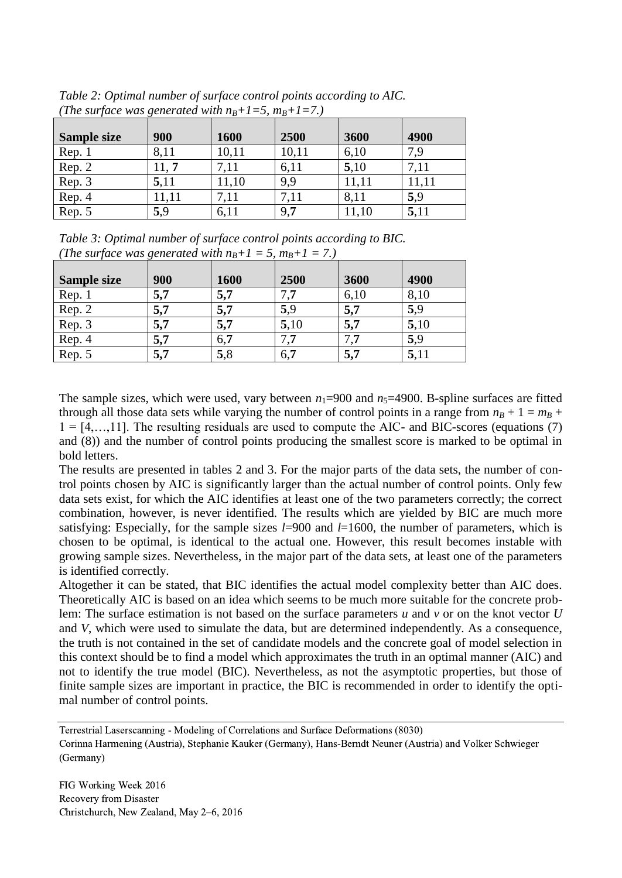| The surjue was generated which $\eta$ + $\tau$ s, $m_p$ + $\tau$ + $\tau$ |       |       |       |       |       |
|---------------------------------------------------------------------------|-------|-------|-------|-------|-------|
| Sample size                                                               | 900   | 1600  | 2500  | 3600  | 4900  |
| Rep. 1                                                                    | 8,11  | 10,11 | 10,11 | 6,10  | 7,9   |
| Rep. 2                                                                    | 11, 7 | 7,11  | 6,11  | 5,10  | 7,11  |
| Rep. 3                                                                    | 5,11  | 11,10 | 9,9   | 11,11 | 11.11 |
| Rep. 4                                                                    | 11,11 | 7,11  | 7,11  | 8,11  | 5.9   |
| Rep. 5                                                                    | 5,9   | 6,11  | 9,7   | 11,10 | 5,11  |

*Table 2: Optimal number of surface control points according to AIC. (The surface was generated with*  $n_{B}+1=5$ *,*  $m_{B}+1=7$ *.)* 

*Table 3: Optimal number of surface control points according to BIC. (The surface was generated with*  $n_B + 1 = 5$ *,*  $m_B + 1 = 7$ *.)* 

| <b>Sample size</b> | 900 | 1600 | 2500           | 3600 | 4900 |
|--------------------|-----|------|----------------|------|------|
| Rep. 1             | 5,7 | 5,7  | 7 <sub>7</sub> | 6,10 | 8,10 |
| Rep. 2             | 5,7 | 5,7  | 5,9            | 5,7  | 5,9  |
| Rep. 3             | 5,7 | 5,7  | 5,10           | 5,7  | 5,10 |
| Rep. 4             | 5,7 | 6,7  |                |      | 5,9  |
| Rep. 5             | 5,7 | 5,8  | 6,7            | 5,7  | 5,11 |

The sample sizes, which were used, vary between  $n_1$ =900 and  $n_5$ =4900. B-spline surfaces are fitted through all those data sets while varying the number of control points in a range from  $n<sub>B</sub> + 1 = m<sub>B</sub> +$  $1 = [4, \ldots, 11]$ . The resulting residuals are used to compute the AIC- and BIC-scores (equations (7) and (8)) and the number of control points producing the smallest score is marked to be optimal in bold letters.

The results are presented in tables 2 and 3. For the major parts of the data sets, the number of control points chosen by AIC is significantly larger than the actual number of control points. Only few data sets exist, for which the AIC identifies at least one of the two parameters correctly; the correct combination, however, is never identified. The results which are yielded by BIC are much more satisfying: Especially, for the sample sizes *l*=900 and *l*=1600, the number of parameters, which is chosen to be optimal, is identical to the actual one. However, this result becomes instable with growing sample sizes. Nevertheless, in the major part of the data sets, at least one of the parameters is identified correctly.

Altogether it can be stated, that BIC identifies the actual model complexity better than AIC does. Theoretically AIC is based on an idea which seems to be much more suitable for the concrete problem: The surface estimation is not based on the surface parameters *u* and *v* or on the knot vector *U* and *V*, which were used to simulate the data, but are determined independently. As a consequence, the truth is not contained in the set of candidate models and the concrete goal of model selection in this context should be to find a model which approximates the truth in an optimal manner (AIC) and not to identify the true model (BIC). Nevertheless, as not the asymptotic properties, but those of finite sample sizes are important in practice, the BIC is recommended in order to identify the optimal number of control points.

Terrestrial Laserscanning - Modeling of Correlations and Surface Deformations (8030) Corinna Harmening (Austria), Stephanie Kauker (Germany), Hans-Berndt Neuner (Austria) and Volker Schwieger (Germany)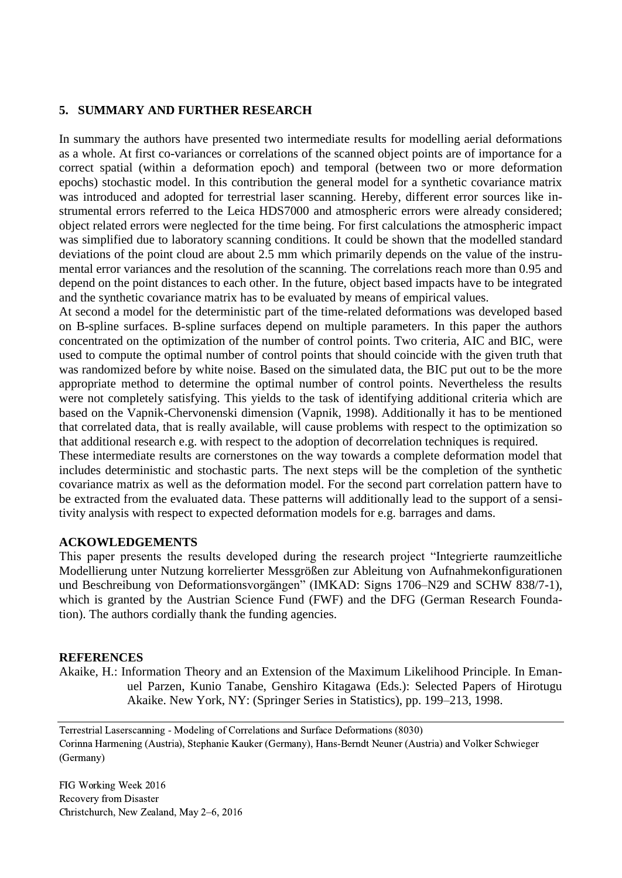### **5. SUMMARY AND FURTHER RESEARCH**

In summary the authors have presented two intermediate results for modelling aerial deformations as a whole. At first co-variances or correlations of the scanned object points are of importance for a correct spatial (within a deformation epoch) and temporal (between two or more deformation epochs) stochastic model. In this contribution the general model for a synthetic covariance matrix was introduced and adopted for terrestrial laser scanning. Hereby, different error sources like instrumental errors referred to the Leica HDS7000 and atmospheric errors were already considered; object related errors were neglected for the time being. For first calculations the atmospheric impact was simplified due to laboratory scanning conditions. It could be shown that the modelled standard deviations of the point cloud are about 2.5 mm which primarily depends on the value of the instrumental error variances and the resolution of the scanning. The correlations reach more than 0.95 and depend on the point distances to each other. In the future, object based impacts have to be integrated and the synthetic covariance matrix has to be evaluated by means of empirical values.

At second a model for the deterministic part of the time-related deformations was developed based on B-spline surfaces. B-spline surfaces depend on multiple parameters. In this paper the authors concentrated on the optimization of the number of control points. Two criteria, AIC and BIC, were used to compute the optimal number of control points that should coincide with the given truth that was randomized before by white noise. Based on the simulated data, the BIC put out to be the more appropriate method to determine the optimal number of control points. Nevertheless the results were not completely satisfying. This yields to the task of identifying additional criteria which are based on the Vapnik-Chervonenski dimension (Vapnik, 1998). Additionally it has to be mentioned that correlated data, that is really available, will cause problems with respect to the optimization so that additional research e.g. with respect to the adoption of decorrelation techniques is required.

These intermediate results are cornerstones on the way towards a complete deformation model that includes deterministic and stochastic parts. The next steps will be the completion of the synthetic covariance matrix as well as the deformation model. For the second part correlation pattern have to be extracted from the evaluated data. These patterns will additionally lead to the support of a sensitivity analysis with respect to expected deformation models for e.g. barrages and dams.

### **ACKOWLEDGEMENTS**

This paper presents the results developed during the research project "Integrierte raumzeitliche Modellierung unter Nutzung korrelierter Messgrößen zur Ableitung von Aufnahmekonfigurationen und Beschreibung von Deformationsvorgängen" (IMKAD: Signs 1706–N29 and SCHW 838/7-1), which is granted by the Austrian Science Fund (FWF) and the DFG (German Research Foundation). The authors cordially thank the funding agencies.

### **REFERENCES**

Akaike, H.: Information Theory and an Extension of the Maximum Likelihood Principle. In Emanuel Parzen, Kunio Tanabe, Genshiro Kitagawa (Eds.): Selected Papers of Hirotugu Akaike. New York, NY: (Springer Series in Statistics), pp. 199–213, 1998.

Terrestrial Laserscanning - Modeling of Correlations and Surface Deformations (8030) Corinna Harmening (Austria), Stephanie Kauker (Germany), Hans-Berndt Neuner (Austria) and Volker Schwieger (Germany)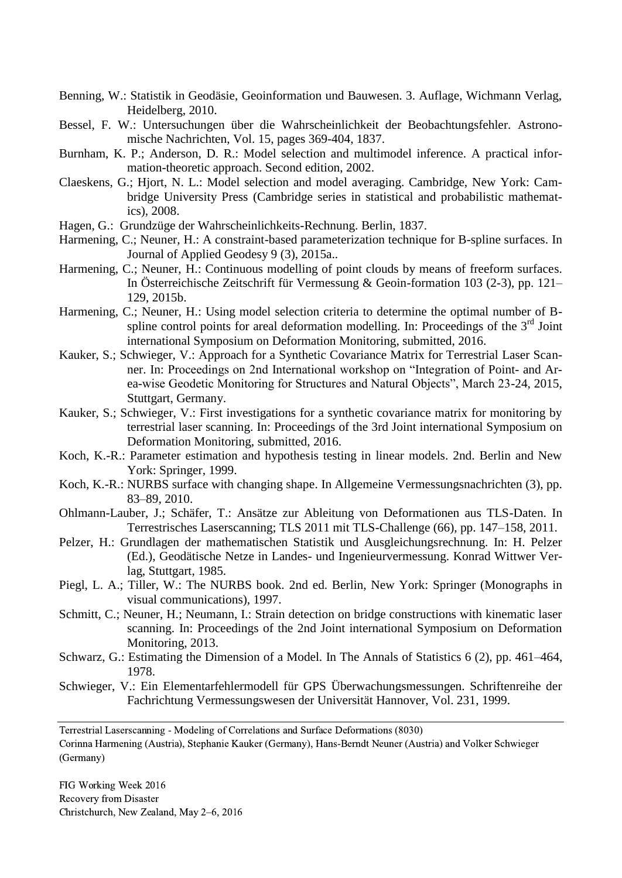- Benning, W.: Statistik in Geodäsie, Geoinformation und Bauwesen. 3. Auflage, Wichmann Verlag, Heidelberg, 2010.
- Bessel, F. W.: Untersuchungen über die Wahrscheinlichkeit der Beobachtungsfehler. Astronomische Nachrichten, Vol. 15, pages 369-404, 1837.
- Burnham, K. P.; Anderson, D. R.: Model selection and multimodel inference. A practical information-theoretic approach. Second edition, 2002.
- Claeskens, G.; Hjort, N. L.: Model selection and model averaging. Cambridge, New York: Cambridge University Press (Cambridge series in statistical and probabilistic mathematics), 2008.
- Hagen, G.: Grundzüge der Wahrscheinlichkeits-Rechnung. Berlin, 1837.
- Harmening, C.; Neuner, H.: A constraint-based parameterization technique for B-spline surfaces. In Journal of Applied Geodesy 9 (3), 2015a..
- Harmening, C.; Neuner, H.: Continuous modelling of point clouds by means of freeform surfaces. In Österreichische Zeitschrift für Vermessung & Geoin-formation 103 (2-3), pp. 121– 129, 2015b.
- Harmening, C.; Neuner, H.: Using model selection criteria to determine the optimal number of Bspline control points for areal deformation modelling. In: Proceedings of the  $3<sup>rd</sup>$  Joint international Symposium on Deformation Monitoring, submitted, 2016.
- Kauker, S.; Schwieger, V.: Approach for a Synthetic Covariance Matrix for Terrestrial Laser Scanner. In: Proceedings on 2nd International workshop on "Integration of Point- and Area-wise Geodetic Monitoring for Structures and Natural Objects", March 23-24, 2015, Stuttgart, Germany.
- Kauker, S.; Schwieger, V.: First investigations for a synthetic covariance matrix for monitoring by terrestrial laser scanning. In: Proceedings of the 3rd Joint international Symposium on Deformation Monitoring, submitted, 2016.
- Koch, K.-R.: Parameter estimation and hypothesis testing in linear models. 2nd. Berlin and New York: Springer, 1999.
- Koch, K.-R.: NURBS surface with changing shape. In Allgemeine Vermessungsnachrichten (3), pp. 83–89, 2010.
- Ohlmann-Lauber, J.; Schäfer, T.: Ansätze zur Ableitung von Deformationen aus TLS-Daten. In Terrestrisches Laserscanning; TLS 2011 mit TLS-Challenge (66), pp. 147–158, 2011.
- Pelzer, H.: Grundlagen der mathematischen Statistik und Ausgleichungsrechnung. In: H. Pelzer (Ed.), Geodätische Netze in Landes- und Ingenieurvermessung. Konrad Wittwer Verlag, Stuttgart, 1985.
- Piegl, L. A.; Tiller, W.: The NURBS book. 2nd ed. Berlin, New York: Springer (Monographs in visual communications), 1997.
- Schmitt, C.; Neuner, H.; Neumann, I.: Strain detection on bridge constructions with kinematic laser scanning. In: Proceedings of the 2nd Joint international Symposium on Deformation Monitoring, 2013.
- Schwarz, G.: Estimating the Dimension of a Model. In The Annals of Statistics 6 (2), pp. 461–464, 1978.
- Schwieger, V.: Ein Elementarfehlermodell für GPS Überwachungsmessungen. Schriftenreihe der Fachrichtung Vermessungswesen der Universität Hannover, Vol. 231, 1999.

Terrestrial Laserscanning - Modeling of Correlations and Surface Deformations (8030) Corinna Harmening (Austria), Stephanie Kauker (Germany), Hans-Berndt Neuner (Austria) and Volker Schwieger (Germany)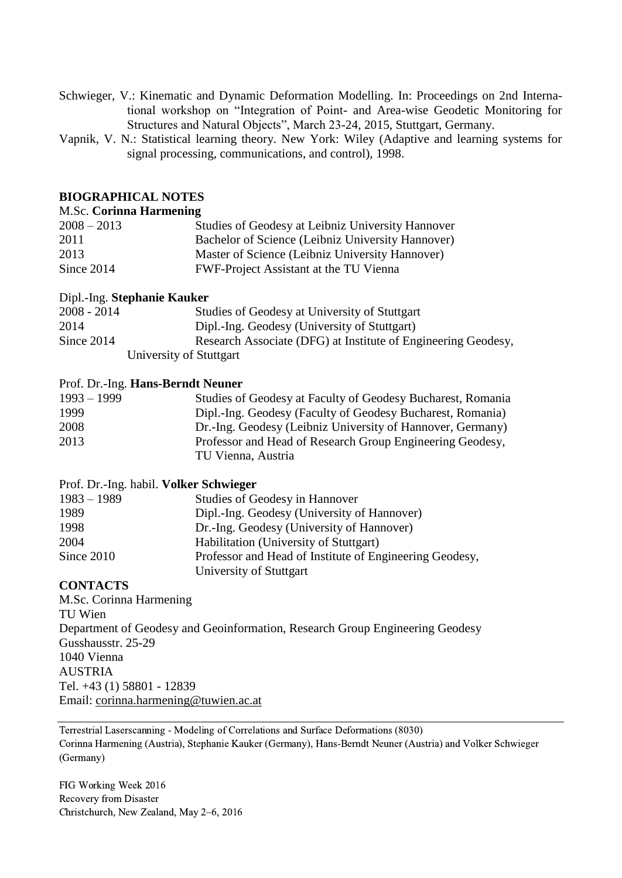- Schwieger, V.: Kinematic and Dynamic Deformation Modelling. In: Proceedings on 2nd International workshop on "Integration of Point- and Area-wise Geodetic Monitoring for Structures and Natural Objects", March 23-24, 2015, Stuttgart, Germany.
- Vapnik, V. N.: Statistical learning theory. New York: Wiley (Adaptive and learning systems for signal processing, communications, and control), 1998.

### **BIOGRAPHICAL NOTES**

#### M.Sc. **Corinna Harmening**

| $2008 - 2013$ | Studies of Geodesy at Leibniz University Hannover |
|---------------|---------------------------------------------------|
| 2011          | Bachelor of Science (Leibniz University Hannover) |
| 2013          | Master of Science (Leibniz University Hannover)   |
| Since 2014    | FWF-Project Assistant at the TU Vienna            |

#### Dipl.-Ing. **Stephanie Kauker**

| $2008 - 2014$ | Studies of Geodesy at University of Stuttgart                 |
|---------------|---------------------------------------------------------------|
| 2014          | Dipl.-Ing. Geodesy (University of Stuttgart)                  |
| Since 2014    | Research Associate (DFG) at Institute of Engineering Geodesy, |
|               | University of Stuttgart                                       |

#### Prof. Dr.-Ing. **Hans-Berndt Neuner**

| $1993 - 1999$ | Studies of Geodesy at Faculty of Geodesy Bucharest, Romania |
|---------------|-------------------------------------------------------------|
| 1999          | Dipl.-Ing. Geodesy (Faculty of Geodesy Bucharest, Romania)  |
| 2008          | Dr.-Ing. Geodesy (Leibniz University of Hannover, Germany)  |
| 2013          | Professor and Head of Research Group Engineering Geodesy,   |
|               | TU Vienna, Austria                                          |

#### Prof. Dr.-Ing. habil. **Volker Schwieger**

| $1983 - 1989$ | Studies of Geodesy in Hannover                          |
|---------------|---------------------------------------------------------|
| 1989          | Dipl.-Ing. Geodesy (University of Hannover)             |
| 1998          | Dr.-Ing. Geodesy (University of Hannover)               |
| 2004          | Habilitation (University of Stuttgart)                  |
| Since 2010    | Professor and Head of Institute of Engineering Geodesy, |
|               | University of Stuttgart                                 |
|               |                                                         |

#### **CONTACTS**

M.Sc. Corinna Harmening TU Wien Department of Geodesy and Geoinformation, Research Group Engineering Geodesy Gusshausstr. 25-29 1040 Vienna AUSTRIA Tel. +43 (1) 58801 - 12839 Email: [corinna.harmening@tuwien.ac.at](mailto:corinna.harmening@tuwien.ac.at)

Terrestrial Laserscanning - Modeling of Correlations and Surface Deformations (8030) Corinna Harmening (Austria), Stephanie Kauker (Germany), Hans-Berndt Neuner (Austria) and Volker Schwieger (Germany)